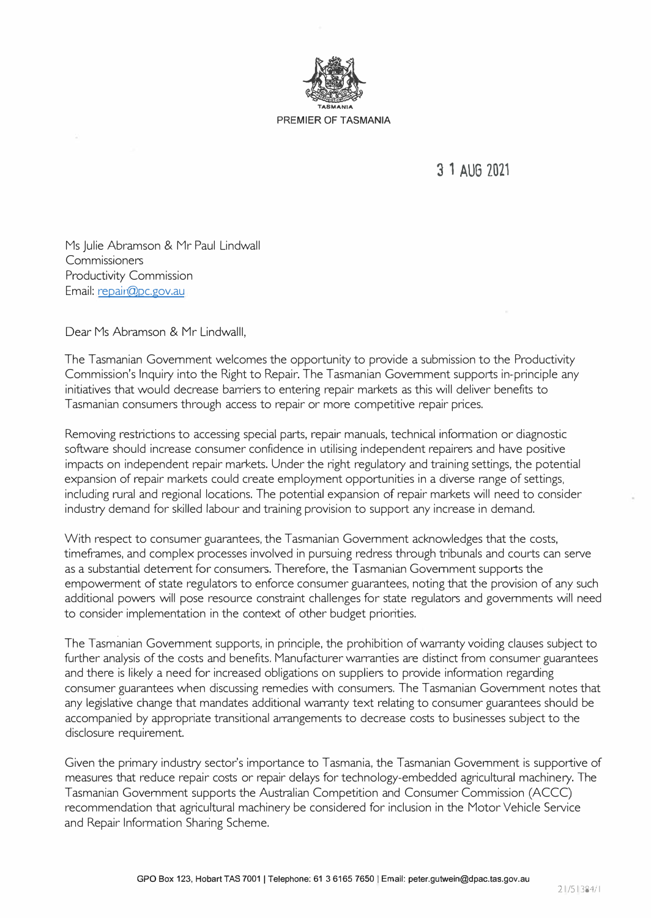

**3 1 AUG 2021** 

Ms Julie Abramson & Mr Paul Lindwall **Commissioners** Productivity Commission Email: repair@pc.gov.au

Dear Ms Abramson & Mr Lindwalll,

The Tasmanian Government welcomes the opportunity to provide a submission to the Productivity Commission's Inquiry into the Right to Repair. The Tasmanian Government supports in-principle any initiatives that would decrease barriers to entering repair markets as this will deliver benefits to Tasmanian consumers through access to repair or more competitive repair prices.

Removing restrictions to accessing special parts, repair manuals, technical information or diagnostic software should increase consumer confidence in utilising independent repairers and have positive impacts on independent repair markets. Under the right regulatory and training settings, the potential expansion of repair markets could create employment opportunities in a diverse range of settings, including rural and regional locations. The potential expansion of repair markets will need to consider industry demand for skilled labour and training provision to support any increase in demand.

With respect to consumer guarantees, the Tasmanian Government acknowledges that the costs, timeframes, and complex processes involved in pursuing redress through tribunals and courts can serve as a substantial deterrent for consumers. Therefore, the Tasmanian Government supports the empowerment of state regulators to enforce consumer guarantees, noting that the provision of any such additional powers will pose resource constraint challenges for state regulators and governments will need to consider implementation in the context of other budget priorities.

The Tasmanian Government supports, in principle, the prohibition of warranty voiding clauses subject to further analysis of the costs and benefits. Manufacturer warranties are distinct from consumer guarantees and there is likely a need for increased obligations on suppliers to provide information regarding consumer guarantees when discussing remedies with consumers. The Tasmanian Government notes that any legislative change that mandates additional warranty text relating to consumer guarantees should be accompanied by appropriate transitional arrangements to decrease costs to businesses subject to the disclosure requirement.

Given the primary industry sector's importance to Tasmania, the Tasmanian Government is supportive of measures that reduce repair costs or repair delays for technology-embedded agricultural machinery. The Tasmanian Government supports the Australian Competition and Consumer Commission (ACCC) recommendation that agricultural machinery be considered for inclusion in the Motor Vehicle Service and Repair Information Sharing Scheme.